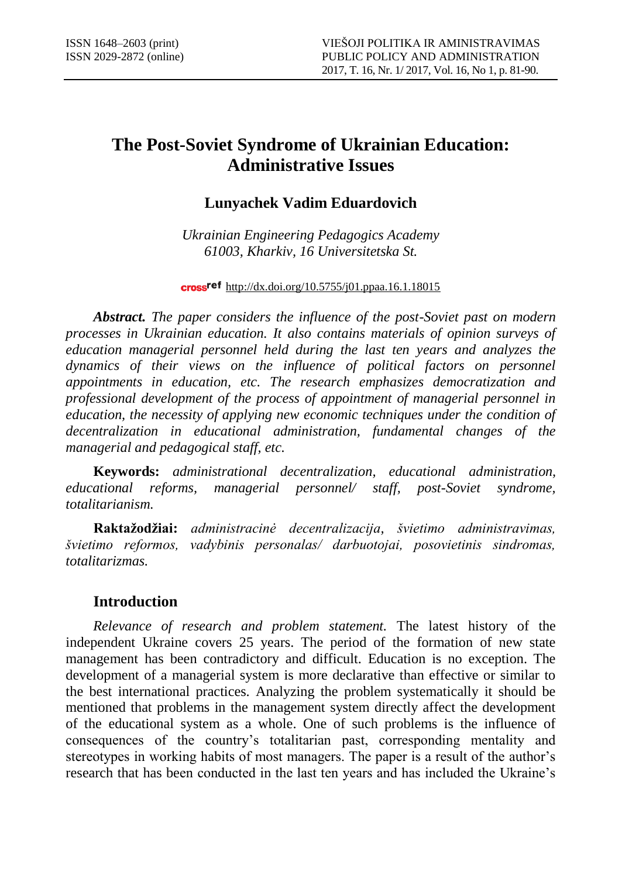# **The Post-Soviet Syndrome of Ukrainian Education: Administrative Issues**

# **Lunyachek Vadim Eduardovich**

*Ukrainian Engineering Pedagogics Academy 61003, Kharkiv, 16 Universitetska St.*

**cross<sup>ref</sup>** http://dx.doi.org/10.5755/j01.ppaa.16.1.18015

*Abstract. The paper considers the influence of the post-Soviet past on modern processes in Ukrainian education. It also contains materials of opinion surveys of education managerial personnel held during the last ten years and analyzes the dynamics of their views on the influence of political factors on personnel appointments in education, etc. The research emphasizes democratization and professional development of the process of appointment of managerial personnel in education, the necessity of applying new economic techniques under the condition of decentralization in educational administration, fundamental changes of the managerial and pedagogical staff, etc.*

**Keywords:** *administrational decentralization, educational administration, educational reforms, managerial personnel/ staff, post-Soviet syndrome, totalitarianism.*

**Raktažodžiai:** *administracinė decentralizacija, švietimo administravimas, švietimo reformos, vadybinis personalas/ darbuotojai, posovietinis sindromas, totalitarizmas.* 

## **Introduction**

*Relevance of research and problem statement.* The latest history of the independent Ukraine covers 25 years. The period of the formation of new state management has been contradictory and difficult. Education is no exception. The development of a managerial system is more declarative than effective or similar to the best international practices. Analyzing the problem systematically it should be mentioned that problems in the management system directly affect the development of the educational system as a whole. One of such problems is the influence of consequences of the country's totalitarian past, corresponding mentality and stereotypes in working habits of most managers. The paper is a result of the author's research that has been conducted in the last ten years and has included the Ukraine's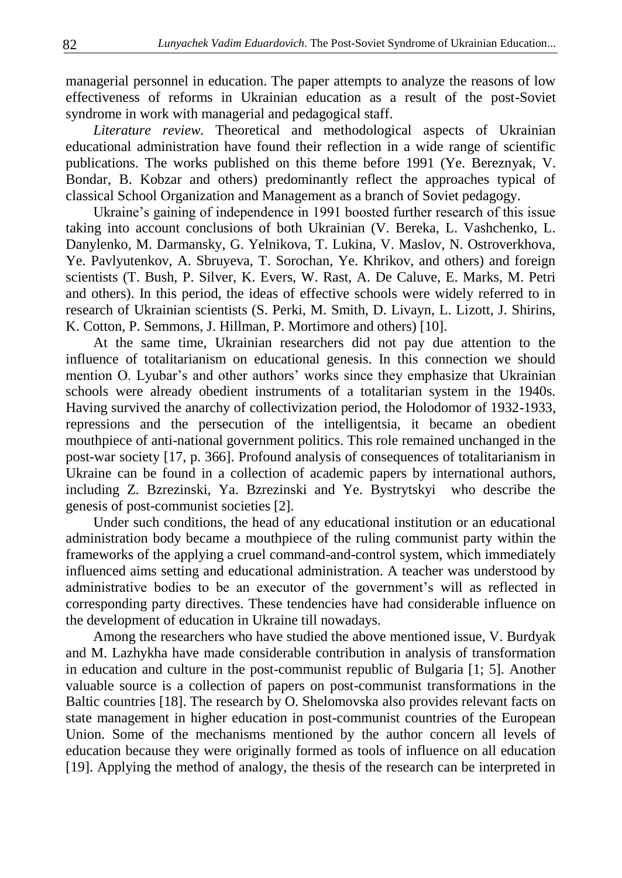managerial personnel in education. The paper attempts to analyze the reasons of low effectiveness of reforms in Ukrainian education as a result of the post-Soviet syndrome in work with managerial and pedagogical staff.

*Literature review.* Theoretical and methodological aspects of Ukrainian educational administration have found their reflection in a wide range of scientific publications. The works published on this theme before 1991 (Ye. Bereznyak, V. Bondar, B. Kobzar and others) predominantly reflect the approaches typical of classical School Organization and Management as a branch of Soviet pedagogy.

Ukraine's gaining of independence in 1991 boosted further research of this issue taking into account conclusions of both Ukrainian (V. Bereka, L. Vashchenko, L. Danylenko, M. Darmansky, G. Yelnikova, T. Lukina, V. Maslov, N. Ostroverkhova, Ye. Pavlyutenkov, A. Sbruyeva, T. Sorochan, Ye. Khrikov, and others) and foreign scientists (T. Bush, P. Silver, K. Evers, W. Rast, A. De Caluve, E. Marks, M. Petri and others). In this period, the ideas of effective schools were widely referred to in research of Ukrainian scientists (S. Perki, M. Smith, D. Livayn, L. Lizott, J. Shirins, K. Cotton, P. Semmons, J. Hillman, P. Mortimore and others) [10].

At the same time, Ukrainian researchers did not pay due attention to the influence of totalitarianism on educational genesis. In this connection we should mention O. Lyubar's and other authors' works since they emphasize that Ukrainian schools were already obedient instruments of a totalitarian system in the 1940s. Having survived the anarchy of collectivization period, the Holodomor of 1932-1933, repressions and the persecution of the intelligentsia, it became an obedient mouthpiece of anti-national government politics. This role remained unchanged in the post-war society [17, p. 366]. Profound analysis of consequences of totalitarianism in Ukraine can be found in a collection of academic papers by international authors, including Z. Bzrezinski, Ya. Bzrezinski and Ye. Bystrytskyi who describe the genesis of post-communist societies [2].

Under such conditions, the head of any educational institution or an educational administration body became a mouthpiece of the ruling communist party within the frameworks of the applying a cruel command-and-control system, which immediately influenced aims setting and educational administration. A teacher was understood by administrative bodies to be an executor of the government's will as reflected in corresponding party directives. These tendencies have had considerable influence on the development of education in Ukraine till nowadays.

Among the researchers who have studied the above mentioned issue, V. Burdyak and M. Lazhykha have made considerable contribution in analysis of transformation in education and culture in the post-communist republic of Bulgaria [1; 5]. Another valuable source is a collection of papers on post-communist transformations in the Baltic countries [18]. The research by O. Shelomovska also provides relevant facts on state management in higher education in post-communist countries of the European Union. Some of the mechanisms mentioned by the author concern all levels of education because they were originally formed as tools of influence on all education [19]. Applying the method of analogy, the thesis of the research can be interpreted in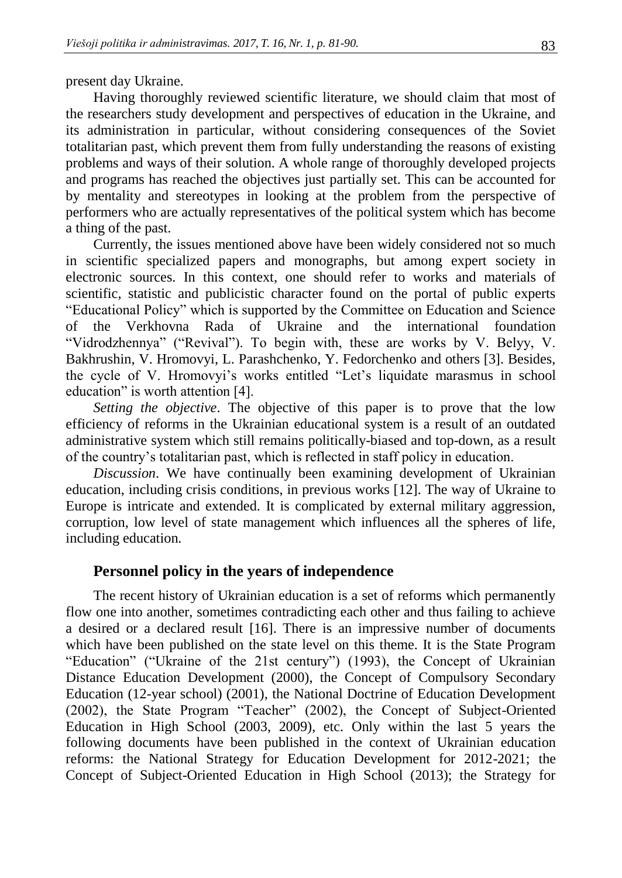present day Ukraine.

Having thoroughly reviewed scientific literature, we should claim that most of the researchers study development and perspectives of education in the Ukraine, and its administration in particular, without considering consequences of the Soviet totalitarian past, which prevent them from fully understanding the reasons of existing problems and ways of their solution. A whole range of thoroughly developed projects and programs has reached the objectives just partially set. This can be accounted for by mentality and stereotypes in looking at the problem from the perspective of performers who are actually representatives of the political system which has become a thing of the past.

Currently, the issues mentioned above have been widely considered not so much in scientific specialized papers and monographs, but among expert society in electronic sources. In this context, one should refer to works and materials of scientific, statistic and publicistic character found on the portal of public experts "Educational Policy" which is supported by the Committee on Education and Science of the Verkhovna Rada of Ukraine and the international foundation "Vidrodzhennya" ("Revival"). To begin with, these are works by V. Belyy, V. Bakhrushin, V. Hromovyi, L. Parashchenko, Y. Fedorchenko and others [3]. Besides, the cycle of V. Hromovyi's works entitled "Let's liquidate marasmus in school education" is worth attention [4].

*Setting the objective*. The objective of this paper is to prove that the low efficiency of reforms in the Ukrainian educational system is a result of an outdated administrative system which still remains politically-biased and top-down, as a result of the country's totalitarian past, which is reflected in staff policy in education.

*Discussion*. We have continually been examining development of Ukrainian education, including crisis conditions, in previous works [12]. The way of Ukraine to Europe is intricate and extended. It is complicated by external military aggression, corruption, low level of state management which influences all the spheres of life, including education.

#### **Personnel policy in the years of independence**

The recent history of Ukrainian education is a set of reforms which permanently flow one into another, sometimes contradicting each other and thus failing to achieve a desired or a declared result [16]. There is an impressive number of documents which have been published on the state level on this theme. It is the State Program "Education" ("Ukraine of the 21st century") (1993), the Concept of Ukrainian Distance Education Development (2000), the Concept of Compulsory Secondary Education (12-year school) (2001), the National Doctrine of Education Development (2002), the State Program "Teacher" (2002), the Concept of Subject-Oriented Education in High School (2003, 2009), etc. Only within the last 5 years the following documents have been published in the context of Ukrainian education reforms: the National Strategy for Education Development for 2012-2021; the Concept of Subject-Oriented Education in High School (2013); the Strategy for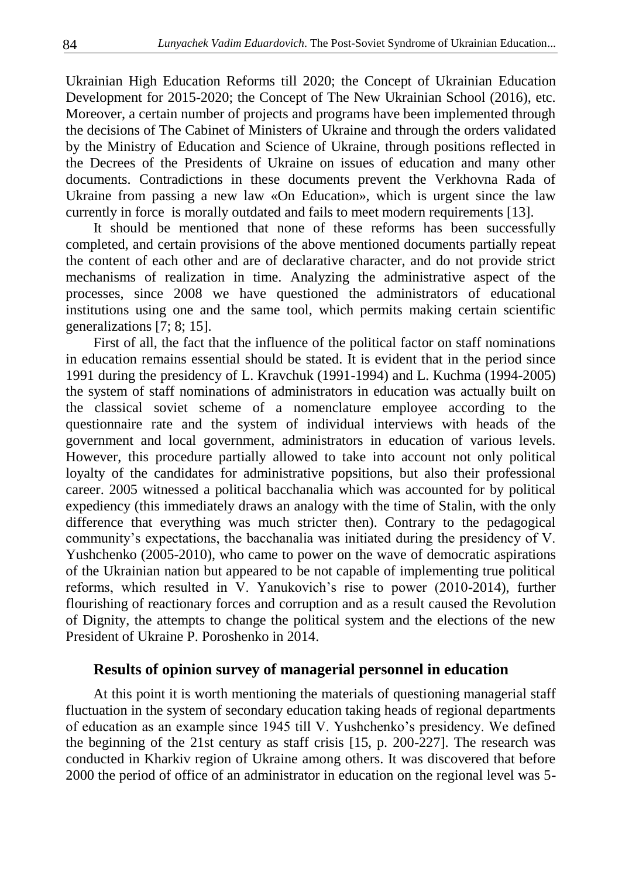Ukrainian High Education Reforms till 2020; the Concept of Ukrainian Education Development for 2015-2020; the Concept of The New Ukrainian School (2016), etc. Moreover, a certain number of projects and programs have been implemented through the decisions of The Cabinet of Ministers of Ukraine and through the orders validated by the Ministry of Education and Science of Ukraine, through positions reflected in the Decrees of the Presidents of Ukraine on issues of education and many other documents. Contradictions in these documents prevent the Verkhovna Rada of Ukraine from passing a new law «On Education», which is urgent since the law currently in force is morally outdated and fails to meet modern requirements [13].

It should be mentioned that none of these reforms has been successfully completed, and certain provisions of the above mentioned documents partially repeat the content of each other and are of declarative character, and do not provide strict mechanisms of realization in time. Analyzing the administrative aspect of the processes, since 2008 we have questioned the administrators of educational institutions using one and the same tool, which permits making certain scientific generalizations [7; 8; 15].

First of all, the fact that the influence of the political factor on staff nominations in education remains essential should be stated. It is evident that in the period since 1991 during the presidency of L. Kravchuk (1991-1994) and L. Kuchma (1994-2005) the system of staff nominations of administrators in education was actually built on the classical soviet scheme of a nomenclature employee according to the questionnaire rate and the system of individual interviews with heads of the government and local government, administrators in education of various levels. However, this procedure partially allowed to take into account not only political loyalty of the candidates for administrative popsitions, but also their professional career. 2005 witnessed a political bacchanalia which was accounted for by political expediency (this immediately draws an analogy with the time of Stalin, with the only difference that everything was much stricter then). Contrary to the pedagogical community's expectations, the bacchanalia was initiated during the presidency of V. Yushchenko (2005-2010), who came to power on the wave of democratic aspirations of the Ukrainian nation but appeared to be not capable of implementing true political reforms, which resulted in V. Yanukovich's rise to power (2010-2014), further flourishing of reactionary forces and corruption and as a result caused the Revolution of Dignity, the attempts to change the political system and the elections of the new President of Ukraine P. Poroshenko in 2014.

#### **Results of opinion survey of managerial personnel in education**

At this point it is worth mentioning the materials of questioning managerial staff fluctuation in the system of secondary education taking heads of regional departments of education as an example since 1945 till V. Yushchenko's presidency. We defined the beginning of the 21st century as staff crisis [15, p. 200-227]. The research was conducted in Kharkiv region of Ukraine among others. It was discovered that before 2000 the period of office of an administrator in education on the regional level was 5-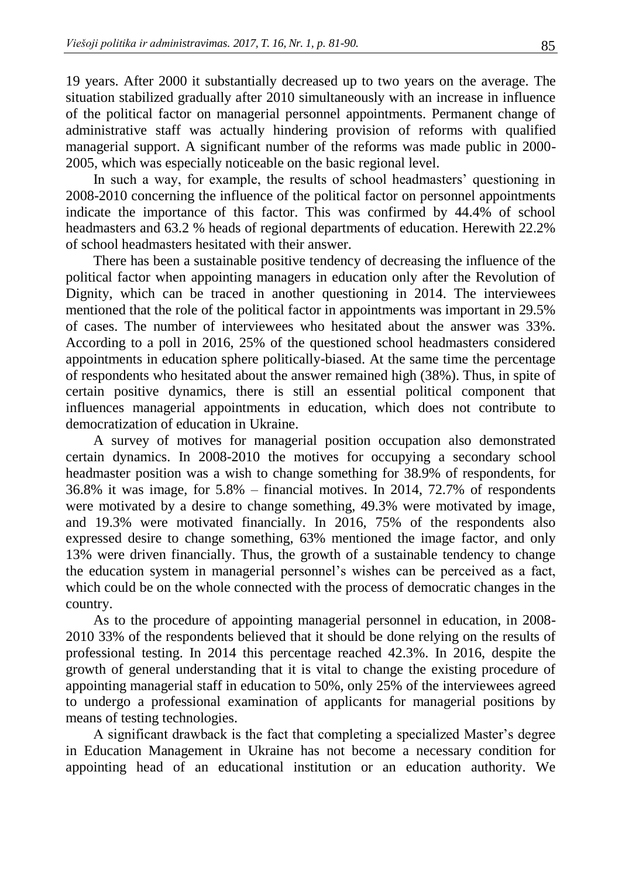19 years. After 2000 it substantially decreased up to two years on the average. The situation stabilized gradually after 2010 simultaneously with an increase in influence of the political factor on managerial personnel appointments. Permanent change of administrative staff was actually hindering provision of reforms with qualified managerial support. A significant number of the reforms was made public in 2000- 2005, which was especially noticeable on the basic regional level.

In such a way, for example, the results of school headmasters' questioning in 2008-2010 concerning the influence of the political factor on personnel appointments indicate the importance of this factor. This was confirmed by 44.4% of school headmasters and 63.2 % heads of regional departments of education. Herewith 22.2% of school headmasters hesitated with their answer.

There has been a sustainable positive tendency of decreasing the influence of the political factor when appointing managers in education only after the Revolution of Dignity, which can be traced in another questioning in 2014. The interviewees mentioned that the role of the political factor in appointments was important in 29.5% of cases. The number of interviewees who hesitated about the answer was 33%. According to a poll in 2016, 25% of the questioned school headmasters considered appointments in education sphere politically-biased. At the same time the percentage of respondents who hesitated about the answer remained high (38%). Thus, in spite of certain positive dynamics, there is still an essential political component that influences managerial appointments in education, which does not contribute to democratization of education in Ukraine.

A survey of motives for managerial position occupation also demonstrated certain dynamics. In 2008-2010 the motives for occupying a secondary school headmaster position was a wish to change something for 38.9% of respondents, for 36.8% it was image, for 5.8% – financial motives. In 2014, 72.7% of respondents were motivated by a desire to change something, 49.3% were motivated by image, and 19.3% were motivated financially. In 2016, 75% of the respondents also expressed desire to change something, 63% mentioned the image factor, and only 13% were driven financially. Thus, the growth of a sustainable tendency to change the education system in managerial personnel's wishes can be perceived as a fact, which could be on the whole connected with the process of democratic changes in the country.

As to the procedure of appointing managerial personnel in education, in 2008- 2010 33% of the respondents believed that it should be done relying on the results of professional testing. In 2014 this percentage reached 42.3%. In 2016, despite the growth of general understanding that it is vital to change the existing procedure of appointing managerial staff in education to 50%, only 25% of the interviewees agreed to undergo a professional examination of applicants for managerial positions by means of testing technologies.

A significant drawback is the fact that completing a specialized Master's degree in Education Management in Ukraine has not become a necessary condition for appointing head of an educational institution or an education authority. We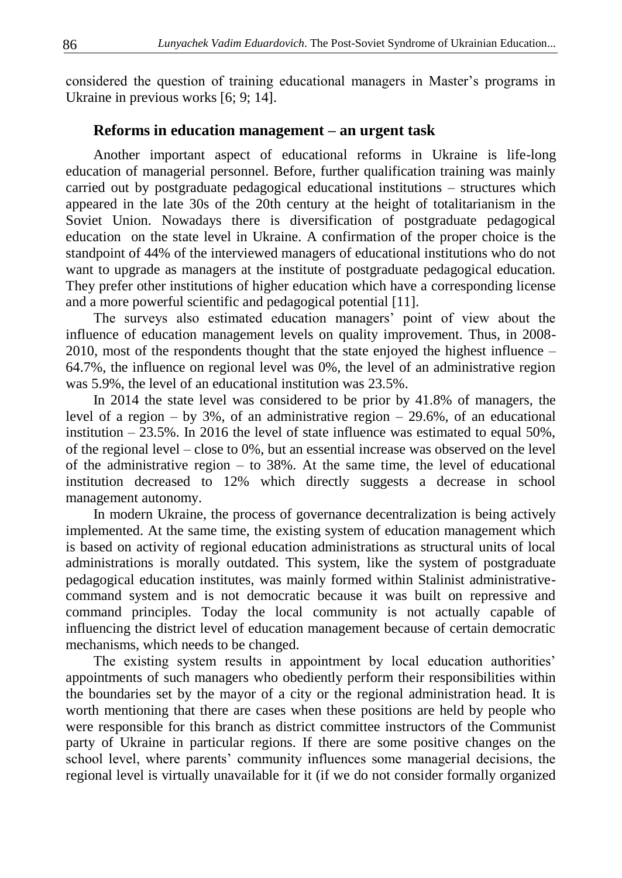considered the question of training educational managers in Master's programs in Ukraine in previous works [6; 9; 14].

### **Reforms in education management – an urgent task**

Another important aspect of educational reforms in Ukraine is life-long education of managerial personnel. Before, further qualification training was mainly carried out by postgraduate pedagogical educational institutions – structures which appeared in the late 30s of the 20th century at the height of totalitarianism in the Soviet Union. Nowadays there is diversification of postgraduate pedagogical education on the state level in Ukraine. A confirmation of the proper choice is the standpoint of 44% of the interviewed managers of educational institutions who do not want to upgrade as managers at the institute of postgraduate pedagogical education. They prefer other institutions of higher education which have a corresponding license and a more powerful scientific and pedagogical potential [11].

The surveys also estimated education managers' point of view about the influence of education management levels on quality improvement. Thus, in 2008- 2010, most of the respondents thought that the state enjoyed the highest influence – 64.7%, the influence on regional level was 0%, the level of an administrative region was 5.9%, the level of an educational institution was 23.5%.

In 2014 the state level was considered to be prior by 41.8% of managers, the level of a region – by  $3\%$ , of an administrative region –  $29.6\%$ , of an educational institution  $-23.5\%$ . In 2016 the level of state influence was estimated to equal 50%, of the regional level – close to 0%, but an essential increase was observed on the level of the administrative region – to 38%. At the same time, the level of educational institution decreased to 12% which directly suggests a decrease in school management autonomy.

In modern Ukraine, the process of governance decentralization is being actively implemented. At the same time, the existing system of education management which is based on activity of regional education administrations as structural units of local administrations is morally outdated. This system, like the system of postgraduate pedagogical education institutes, was mainly formed within Stalinist administrativecommand system and is not democratic because it was built on repressive and command principles. Today the local community is not actually capable of influencing the district level of education management because of certain democratic mechanisms, which needs to be changed.

The existing system results in appointment by local education authorities' appointments of such managers who obediently perform their responsibilities within the boundaries set by the mayor of a city or the regional administration head. It is worth mentioning that there are cases when these positions are held by people who were responsible for this branch as district committee instructors of the Communist party of Ukraine in particular regions. If there are some positive changes on the school level, where parents' community influences some managerial decisions, the regional level is virtually unavailable for it (if we do not consider formally organized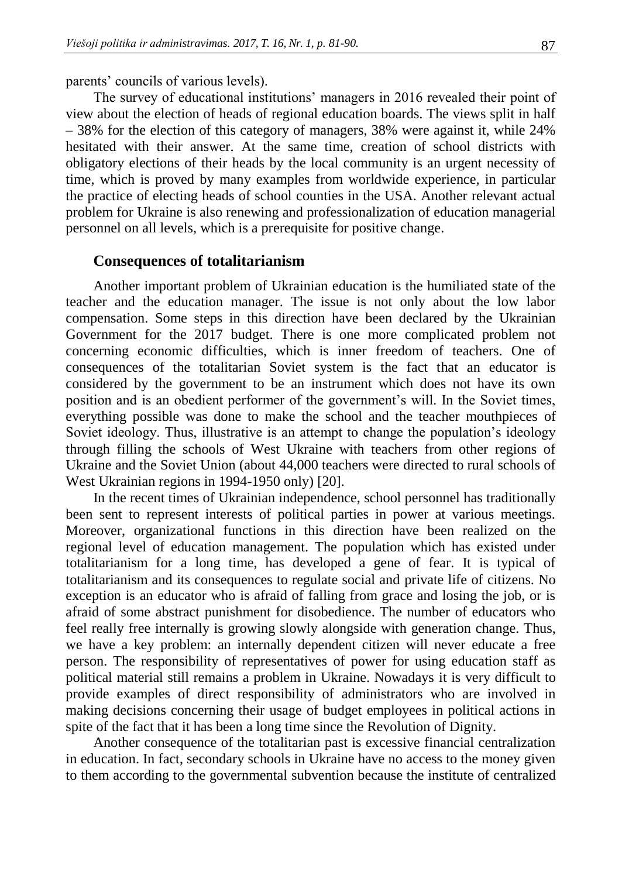parents' councils of various levels).

The survey of educational institutions' managers in 2016 revealed their point of view about the election of heads of regional education boards. The views split in half – 38% for the election of this category of managers, 38% were against it, while 24% hesitated with their answer. At the same time, creation of school districts with obligatory elections of their heads by the local community is an urgent necessity of time, which is proved by many examples from worldwide experience, in particular the practice of electing heads of school counties in the USA. Another relevant actual problem for Ukraine is also renewing and professionalization of education managerial personnel on all levels, which is a prerequisite for positive change.

#### **Consequences of totalitarianism**

Another important problem of Ukrainian education is the humiliated state of the teacher and the education manager. The issue is not only about the low labor compensation. Some steps in this direction have been declared by the Ukrainian Government for the 2017 budget. There is one more complicated problem not concerning economic difficulties, which is inner freedom of teachers. One of consequences of the totalitarian Soviet system is the fact that an educator is considered by the government to be an instrument which does not have its own position and is an obedient performer of the government's will. In the Soviet times, everything possible was done to make the school and the teacher mouthpieces of Soviet ideology. Thus, illustrative is an attempt to change the population's ideology through filling the schools of West Ukraine with teachers from other regions of Ukraine and the Soviet Union (about 44,000 teachers were directed to rural schools of West Ukrainian regions in 1994-1950 only) [20].

In the recent times of Ukrainian independence, school personnel has traditionally been sent to represent interests of political parties in power at various meetings. Moreover, organizational functions in this direction have been realized on the regional level of education management. The population which has existed under totalitarianism for a long time, has developed a gene of fear. It is typical of totalitarianism and its consequences to regulate social and private life of citizens. No exception is an educator who is afraid of falling from grace and losing the job, or is afraid of some abstract punishment for disobedience. The number of educators who feel really free internally is growing slowly alongside with generation change. Thus, we have a key problem: an internally dependent citizen will never educate a free person. The responsibility of representatives of power for using education staff as political material still remains a problem in Ukraine. Nowadays it is very difficult to provide examples of direct responsibility of administrators who are involved in making decisions concerning their usage of budget employees in political actions in spite of the fact that it has been a long time since the Revolution of Dignity.

Another consequence of the totalitarian past is excessive financial centralization in education. In fact, secondary schools in Ukraine have no access to the money given to them according to the governmental subvention because the institute of centralized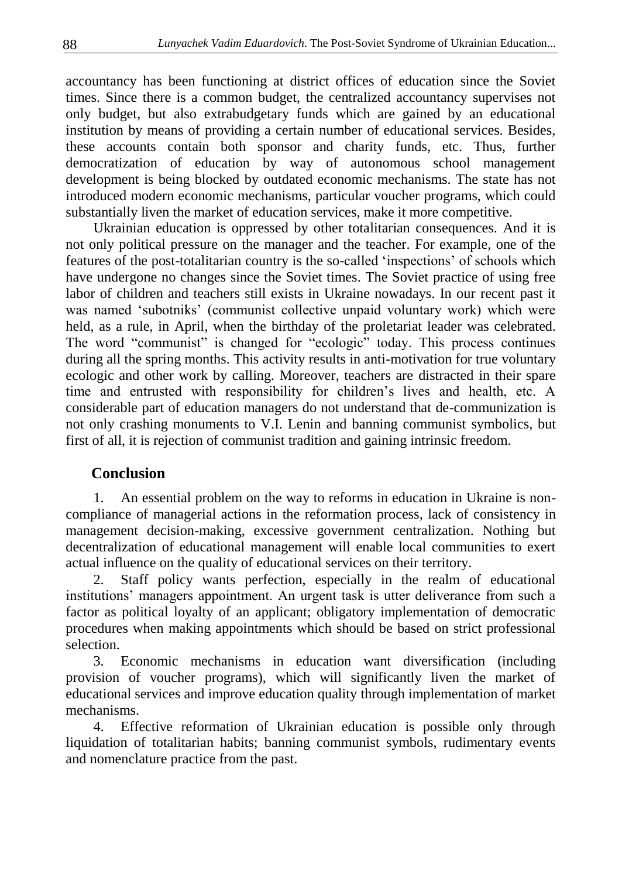accountancy has been functioning at district offices of education since the Soviet times. Since there is a common budget, the centralized accountancy supervises not only budget, but also extrabudgetary funds which are gained by an educational institution by means of providing a certain number of educational services. Besides, these accounts contain both sponsor and charity funds, etc. Thus, further democratization of education by way of autonomous school management development is being blocked by outdated economic mechanisms. The state has not introduced modern economic mechanisms, particular voucher programs, which could substantially liven the market of education services, make it more competitive.

Ukrainian education is oppressed by other totalitarian consequences. And it is not only political pressure on the manager and the teacher. For example, one of the features of the post-totalitarian country is the so-called 'inspections' of schools which have undergone no changes since the Soviet times. The Soviet practice of using free labor of children and teachers still exists in Ukraine nowadays. In our recent past it was named 'subotniks' (communist collective unpaid voluntary work) which were held, as a rule, in April, when the birthday of the proletariat leader was celebrated. The word "communist" is changed for "ecologic" today. This process continues during all the spring months. This activity results in anti-motivation for true voluntary ecologic and other work by calling. Moreover, teachers are distracted in their spare time and entrusted with responsibility for children's lives and health, etc. A considerable part of education managers do not understand that de-communization is not only crashing monuments to V.I. Lenin and banning communist symbolics, but first of all, it is rejection of communist tradition and gaining intrinsic freedom.

## **Conclusion**

1. An essential problem on the way to reforms in education in Ukraine is noncompliance of managerial actions in the reformation process, lack of consistency in management decision-making, excessive government centralization. Nothing but decentralization of educational management will enable local communities to exert actual influence on the quality of educational services on their territory.

2. Staff policy wants perfection, especially in the realm of educational institutions' managers appointment. An urgent task is utter deliverance from such a factor as political loyalty of an applicant; obligatory implementation of democratic procedures when making appointments which should be based on strict professional selection.

3. Economic mechanisms in education want diversification (including provision of voucher programs), which will significantly liven the market of educational services and improve education quality through implementation of market mechanisms.

4. Effective reformation of Ukrainian education is possible only through liquidation of totalitarian habits; banning communist symbols, rudimentary events and nomenclature practice from the past.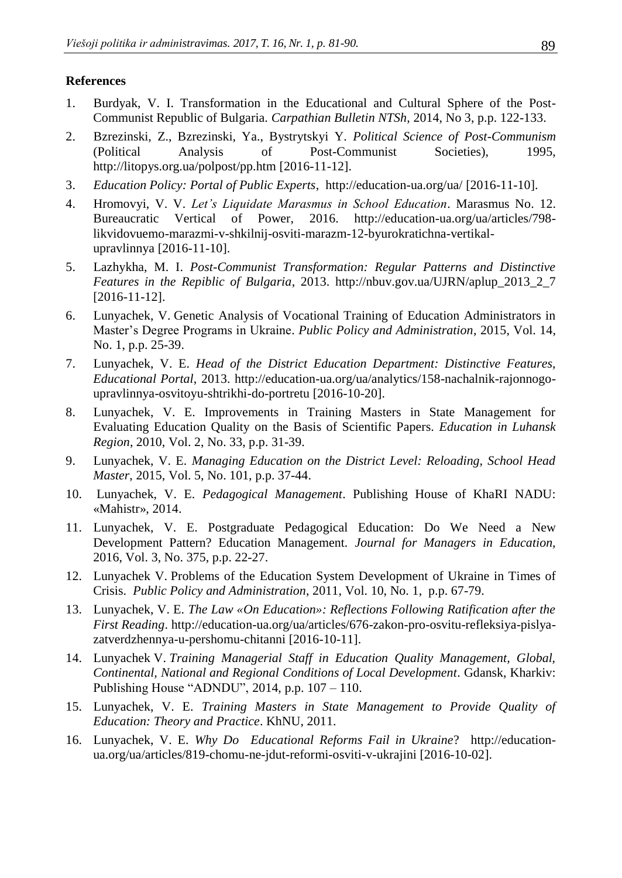### **References**

- 1. Burdyak, V. I. Transformation in the Educational and Cultural Sphere of the Post-Communist Republic of Bulgaria. *Carpathian Bulletin NTSh*, 2014, No 3, p.p. 122-133.
- 2. Bzrezinski, Z., Bzrezinski, Ya., Bystrytskyi Y. *Political Science of Post-Communism* (Political Analysis of Post-Communist Societies), 1995, <http://litopys.org.ua/polpost/pp.htm> [2016-11-12].
- 3. *Education Policy: Portal of Public Experts*, <http://education-ua.org/ua/> [2016-11-10].
- 4. Hromovyi, V. V. *Let's Liquidate Marasmus in School Education*. Marasmus No. 12. Bureaucratic Vertical of Power, 2016. [http://education-ua.org/ua/articles/798](http://education-ua.org/ua/articles/798-likvidovuemo-marazmi-v-shkilnij-osviti-marazm-12-byurokratichna-vertikal-upravlinnya) [likvidovuemo-marazmi-v-shkilnij-osviti-marazm-12-byurokratichna-vertikal](http://education-ua.org/ua/articles/798-likvidovuemo-marazmi-v-shkilnij-osviti-marazm-12-byurokratichna-vertikal-upravlinnya)[upravlinnya](http://education-ua.org/ua/articles/798-likvidovuemo-marazmi-v-shkilnij-osviti-marazm-12-byurokratichna-vertikal-upravlinnya) [2016-11-10].
- 5. Lazhykha, M. I. *Post-Communist Transformation: Regular Patterns and Distinctive Features in the Repiblic of Bulgaria*, 2013. [http://nbuv.gov.ua/UJRN/aplup\\_2013\\_2\\_7](http://www.irbis-nbuv.gov.ua/cgi-bin/irbis_nbuv/cgiirbis_64.exe?I21DBN=LINK&P21DBN=UJRN&Z21ID=&S21REF=10&S21CNR=20&S21STN=1&S21FMT=ASP_meta&C21COM=S&2_S21P03=FILA=&2_S21STR=aplup_2013_2_7) [2016-11-12].
- 6. Lunyachek, V. Genetic Analysis of Vocational Training of Education Administrators in Master's Degree Programs in Ukraine. *Public Policy and Administration*, 2015, Vol. 14, No. 1, p.p. 25-39.
- 7. Lunyachek, V. E. *Head of the District Education Department: Distinctive Features, Educational Portal*, 2013. [http://education-ua.org/ua/analytics/158-nachalnik-rajonnogo](http://education-ua.org/ua/analytics/158-nachalnik-rajonnogo-upravlinnya-osvitoyu-shtrikhi-do-portretu)[upravlinnya-osvitoyu-shtrikhi-do-portretu](http://education-ua.org/ua/analytics/158-nachalnik-rajonnogo-upravlinnya-osvitoyu-shtrikhi-do-portretu) [2016-10-20].
- 8. Lunyachek, V. E. Improvements in Training Masters in State Management for Evaluating Education Quality on the Basis of Scientific Papers. *Education in Luhansk Region*, 2010, Vol. 2, No. 33, p.p. 31-39.
- 9. Lunyachek, V. E. *Managing Education on the District Level: Reloading, School Head Master*, 2015, Vol. 5, No. 101, p.p. 37-44.
- 10. Lunyachek, V. E. *Pedagogical Management*. Publishing House of KhaRI NADU: «Mahistr», 2014.
- 11. Lunyachek, V. E. Postgraduate Pedagogical Education: Do We Need a New Development Pattern? Education Management*. Journal for Managers in Education,* 2016, Vol. 3, No. 375, p.p. 22-27.
- 12. Lunyachek V. Problems of the Education System Development of Ukraine in Times of Crisis. *Public Policy and Administration*, 2011, Vol. 10, No. 1, p.p. 67-79.
- 13. Lunyachek, V. E. *The Law «On Education»: Reflections Following Ratification after the First Reading*. [http://education-ua.org/ua/articles/676-zakon-pro-osvitu-refleksiya-pislya](http://education-ua.org/ua/articles/676-zakon-pro-osvitu-refleksiya-pislya-zatverdzhennya-u-pershomu-chitanni)[zatverdzhennya-u-pershomu-chitanni](http://education-ua.org/ua/articles/676-zakon-pro-osvitu-refleksiya-pislya-zatverdzhennya-u-pershomu-chitanni) [2016-10-11].
- 14. Lunyachek V. *Training Managerial Staff in Education Quality Management, Global, Continental, National and Regional Conditions of Local Development*. Gdansk, Kharkiv: Publishing House "ADNDU", 2014, p.p. 107 – 110.
- 15. Lunyachek, V. E. *Training Masters in State Management to Provide Quality of Education: Theory and Practice*. KhNU, 2011.
- 16. Lunyachek, V. E. *Why Do Educational Reforms Fail in Ukraine*? [http://education](http://education-ua.org/ua/articles/819-chomu-ne-jdut-reformi-osviti-v-ukrajini)[ua.org/ua/articles/819-chomu-ne-jdut-reformi-osviti-v-ukrajini](http://education-ua.org/ua/articles/819-chomu-ne-jdut-reformi-osviti-v-ukrajini) [2016-10-02].